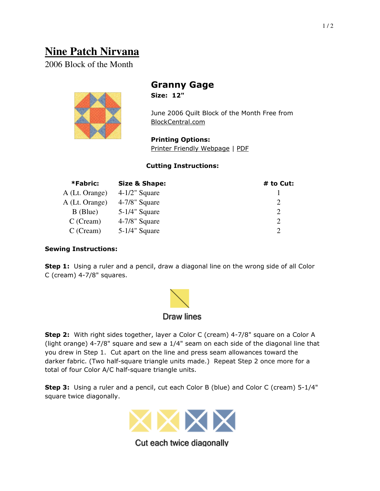# **Nine Patch Nirvana**

2006 Block of the Month



## Granny Gage

Size: 12"

June 2006 Quilt Block of the Month Free from BlockCentral.com

Printing Options: Printer Friendly Webpage | PDF

### Cutting Instructions:

| *Fabric:       | <b>Size &amp; Shape:</b> | # to Cut:             |
|----------------|--------------------------|-----------------------|
| A (Lt. Orange) | $4-1/2$ " Square         |                       |
| A (Lt. Orange) | $4-7/8$ " Square         | $\mathcal{D}_{\cdot}$ |
| $B$ (Blue)     | $5-1/4$ " Square         | 2                     |
| $C$ (Cream)    | $4-7/8$ " Square         | 2                     |
| $C$ (Cream)    | $5-1/4$ " Square         | $\mathcal{D}$         |

#### Sewing Instructions:

**Step 1:** Using a ruler and a pencil, draw a diagonal line on the wrong side of all Color C (cream) 4-7/8" squares.



Step 2: With right sides together, layer a Color C (cream) 4-7/8" square on a Color A (light orange) 4-7/8" square and sew a 1/4" seam on each side of the diagonal line that you drew in Step 1. Cut apart on the line and press seam allowances toward the darker fabric. (Two half-square triangle units made.) Repeat Step 2 once more for a total of four Color A/C half-square triangle units.

Step 3: Using a ruler and a pencil, cut each Color B (blue) and Color C (cream) 5-1/4" square twice diagonally.



Cut each twice diagonally